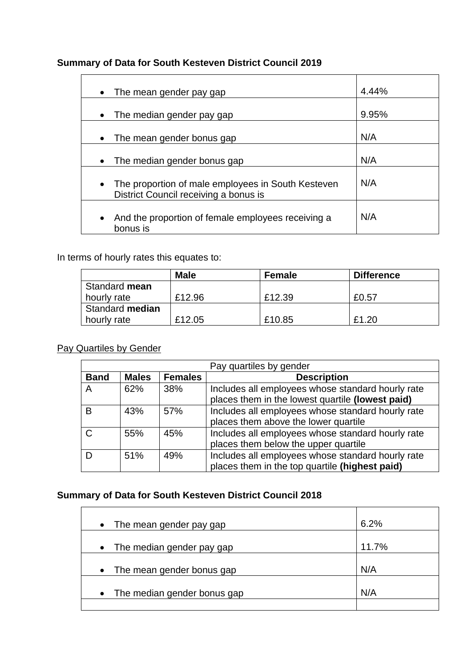## **Summary of Data for South Kesteven District Council 2019**

| The mean gender pay gap                                                                                  | 4.44% |
|----------------------------------------------------------------------------------------------------------|-------|
| The median gender pay gap<br>$\bullet$                                                                   | 9.95% |
| The mean gender bonus gap                                                                                | N/A   |
| The median gender bonus gap                                                                              | N/A   |
| The proportion of male employees in South Kesteven<br>$\bullet$<br>District Council receiving a bonus is | N/A   |
| And the proportion of female employees receiving a<br>$\bullet$<br>bonus is                              | N/A   |

In terms of hourly rates this equates to:

|                 | <b>Male</b> | Female | <b>Difference</b> |
|-----------------|-------------|--------|-------------------|
| Standard mean   |             |        |                   |
| hourly rate     | £12.96      | £12.39 | £0.57             |
| Standard median |             |        |                   |
| hourly rate     | £12.05      | £10.85 | £1.20             |

### Pay Quartiles by Gender

|             | Pay quartiles by gender |                |                                                                                                       |  |
|-------------|-------------------------|----------------|-------------------------------------------------------------------------------------------------------|--|
| <b>Band</b> | <b>Males</b>            | <b>Females</b> | <b>Description</b>                                                                                    |  |
| A           | 62%                     | 38%            | Includes all employees whose standard hourly rate<br>places them in the lowest quartile (lowest paid) |  |
| в           | 43%                     | 57%            | Includes all employees whose standard hourly rate<br>places them above the lower quartile             |  |
| C.          | 55%                     | 45%            | Includes all employees whose standard hourly rate<br>places them below the upper quartile             |  |
|             | 51%                     | 49%            | Includes all employees whose standard hourly rate<br>places them in the top quartile (highest paid)   |  |

# **Summary of Data for South Kesteven District Council 2018**

| The mean gender pay gap<br>$\bullet$     | 6.2%  |
|------------------------------------------|-------|
| The median gender pay gap<br>$\bullet$   | 11.7% |
| The mean gender bonus gap<br>$\bullet$   | N/A   |
| The median gender bonus gap<br>$\bullet$ | N/A   |
|                                          |       |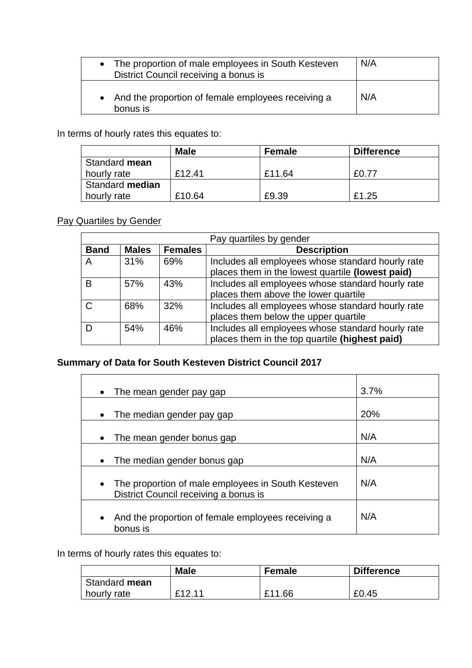| • The proportion of male employees in South Kesteven<br>District Council receiving a bonus is | N/A |
|-----------------------------------------------------------------------------------------------|-----|
| And the proportion of female employees receiving a<br>bonus is                                | N/A |

In terms of hourly rates this equates to:

|                 | <b>Male</b> | Female | <b>Difference</b> |
|-----------------|-------------|--------|-------------------|
| Standard mean   |             |        |                   |
| hourly rate     | £12.41      | £11.64 | £0.77             |
| Standard median |             |        |                   |
| hourly rate     | £10.64      | £9.39  | £1.25             |

#### Pay Quartiles by Gender

| Pay quartiles by gender |              |                |                                                   |  |
|-------------------------|--------------|----------------|---------------------------------------------------|--|
| <b>Band</b>             | <b>Males</b> | <b>Females</b> | <b>Description</b>                                |  |
| A                       | 31%          | 69%            | Includes all employees whose standard hourly rate |  |
|                         |              |                | places them in the lowest quartile (lowest paid)  |  |
| B                       | 57%          | 43%            | Includes all employees whose standard hourly rate |  |
|                         |              |                | places them above the lower quartile              |  |
| C                       | 68%          | 32%            | Includes all employees whose standard hourly rate |  |
|                         |              |                | places them below the upper quartile              |  |
|                         | 54%          | 46%            | Includes all employees whose standard hourly rate |  |
|                         |              |                | places them in the top quartile (highest paid)    |  |

## **Summary of Data for South Kesteven District Council 2017**

| The mean gender pay gap                                                                                  | 3.7% |
|----------------------------------------------------------------------------------------------------------|------|
| The median gender pay gap                                                                                | 20%  |
| The mean gender bonus gap                                                                                | N/A  |
| The median gender bonus gap                                                                              | N/A  |
| The proportion of male employees in South Kesteven<br>$\bullet$<br>District Council receiving a bonus is | N/A  |
| And the proportion of female employees receiving a<br>$\bullet$<br>bonus is                              | N/A  |

In terms of hourly rates this equates to:

|               | <b>Male</b> | <b>Female</b> | <b>Difference</b> |
|---------------|-------------|---------------|-------------------|
| Standard mean |             |               |                   |
| I hourly rate | £12 11      | £11.66        | £0.45             |